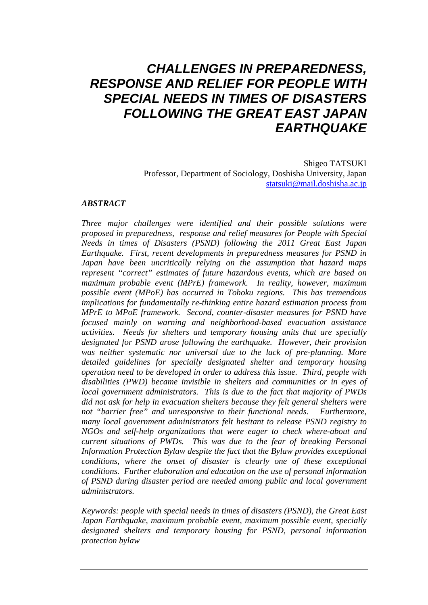# *CHALLENGES IN PREPAREDNESS, RESPONSE AND RELIEF FOR PEOPLE WITH SPECIAL NEEDS IN TIMES OF DISASTERS FOLLOWING THE GREAT EAST JAPAN EARTHQUAKE*

Shigeo TATSUKI Professor, Department of Sociology, Doshisha University, Japan statsuki@mail.doshisha.ac.jp

#### *ABSTRACT*

*Three major challenges were identified and their possible solutions were proposed in preparedness, response and relief measures for People with Special Needs in times of Disasters (PSND) following the 2011 Great East Japan Earthquake. First, recent developments in preparedness measures for PSND in Japan have been uncritically relying on the assumption that hazard maps represent "correct" estimates of future hazardous events, which are based on maximum probable event (MPrE) framework. In reality, however, maximum possible event (MPoE) has occurred in Tohoku regions. This has tremendous implications for fundamentally re-thinking entire hazard estimation process from MPrE to MPoE framework. Second, counter-disaster measures for PSND have focused mainly on warning and neighborhood-based evacuation assistance activities. Needs for shelters and temporary housing units that are specially designated for PSND arose following the earthquake. However, their provision was neither systematic nor universal due to the lack of pre-planning. More detailed guidelines for specially designated shelter and temporary housing operation need to be developed in order to address this issue. Third, people with disabilities (PWD) became invisible in shelters and communities or in eyes of local government administrators. This is due to the fact that majority of PWDs did not ask for help in evacuation shelters because they felt general shelters were not "barrier free" and unresponsive to their functional needs. Furthermore, many local government administrators felt hesitant to release PSND registry to NGOs and self-help organizations that were eager to check where-about and current situations of PWDs. This was due to the fear of breaking Personal Information Protection Bylaw despite the fact that the Bylaw provides exceptional conditions, where the onset of disaster is clearly one of these exceptional conditions. Further elaboration and education on the use of personal information of PSND during disaster period are needed among public and local government administrators.* 

*Keywords: people with special needs in times of disasters (PSND), the Great East Japan Earthquake, maximum probable event, maximum possible event, specially designated shelters and temporary housing for PSND, personal information protection bylaw*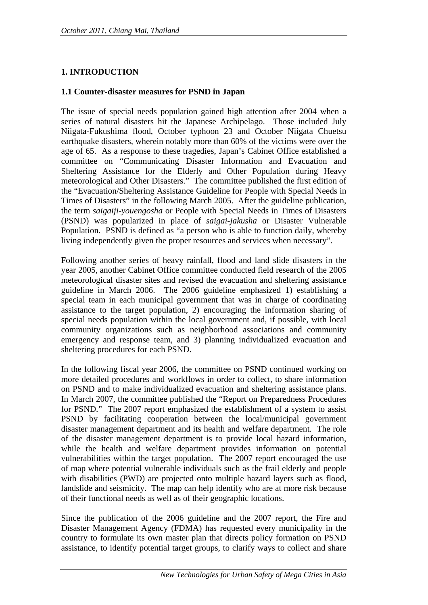# **1. INTRODUCTION**

#### **1.1 Counter-disaster measures for PSND in Japan**

The issue of special needs population gained high attention after 2004 when a series of natural disasters hit the Japanese Archipelago. Those included July Niigata-Fukushima flood, October typhoon 23 and October Niigata Chuetsu earthquake disasters, wherein notably more than 60% of the victims were over the age of 65. As a response to these tragedies, Japan's Cabinet Office established a committee on "Communicating Disaster Information and Evacuation and Sheltering Assistance for the Elderly and Other Population during Heavy meteorological and Other Disasters." The committee published the first edition of the "Evacuation/Sheltering Assistance Guideline for People with Special Needs in Times of Disasters" in the following March 2005. After the guideline publication, the term *saigaiji-youengosha* or People with Special Needs in Times of Disasters (PSND) was popularized in place of *saigai-jakusha* or Disaster Vulnerable Population. PSND is defined as "a person who is able to function daily, whereby living independently given the proper resources and services when necessary".

Following another series of heavy rainfall, flood and land slide disasters in the year 2005, another Cabinet Office committee conducted field research of the 2005 meteorological disaster sites and revised the evacuation and sheltering assistance guideline in March 2006. The 2006 guideline emphasized 1) establishing a special team in each municipal government that was in charge of coordinating assistance to the target population, 2) encouraging the information sharing of special needs population within the local government and, if possible, with local community organizations such as neighborhood associations and community emergency and response team, and 3) planning individualized evacuation and sheltering procedures for each PSND.

In the following fiscal year 2006, the committee on PSND continued working on more detailed procedures and workflows in order to collect, to share information on PSND and to make individualized evacuation and sheltering assistance plans. In March 2007, the committee published the "Report on Preparedness Procedures for PSND." The 2007 report emphasized the establishment of a system to assist PSND by facilitating cooperation between the local/municipal government disaster management department and its health and welfare department. The role of the disaster management department is to provide local hazard information, while the health and welfare department provides information on potential vulnerabilities within the target population. The 2007 report encouraged the use of map where potential vulnerable individuals such as the frail elderly and people with disabilities (PWD) are projected onto multiple hazard layers such as flood, landslide and seismicity. The map can help identify who are at more risk because of their functional needs as well as of their geographic locations.

Since the publication of the 2006 guideline and the 2007 report, the Fire and Disaster Management Agency (FDMA) has requested every municipality in the country to formulate its own master plan that directs policy formation on PSND assistance, to identify potential target groups, to clarify ways to collect and share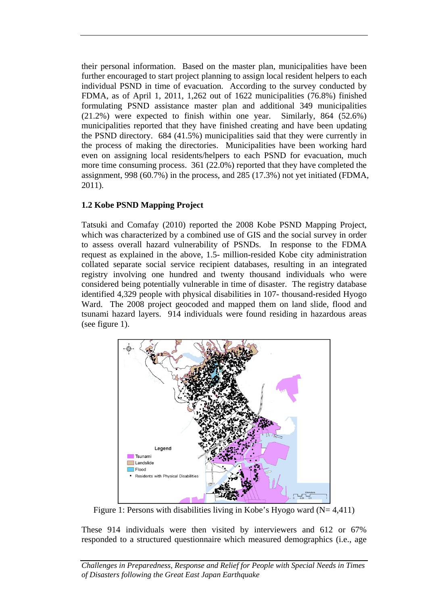their personal information. Based on the master plan, municipalities have been further encouraged to start project planning to assign local resident helpers to each individual PSND in time of evacuation. According to the survey conducted by FDMA, as of April 1, 2011, 1,262 out of 1622 municipalities (76.8%) finished formulating PSND assistance master plan and additional 349 municipalities (21.2%) were expected to finish within one year. Similarly, 864 (52.6%) municipalities reported that they have finished creating and have been updating the PSND directory. 684 (41.5%) municipalities said that they were currently in the process of making the directories. Municipalities have been working hard even on assigning local residents/helpers to each PSND for evacuation, much more time consuming process. 361 (22.0%) reported that they have completed the assignment, 998 (60.7%) in the process, and 285 (17.3%) not yet initiated (FDMA, 2011).

# **1.2 Kobe PSND Mapping Project**

Tatsuki and Comafay (2010) reported the 2008 Kobe PSND Mapping Project, which was characterized by a combined use of GIS and the social survey in order to assess overall hazard vulnerability of PSNDs. In response to the FDMA request as explained in the above, 1.5- million-resided Kobe city administration collated separate social service recipient databases, resulting in an integrated registry involving one hundred and twenty thousand individuals who were considered being potentially vulnerable in time of disaster. The registry database identified 4,329 people with physical disabilities in 107- thousand-resided Hyogo Ward. The 2008 project geocoded and mapped them on land slide, flood and tsunami hazard layers. 914 individuals were found residing in hazardous areas (see figure 1).



Figure 1: Persons with disabilities living in Kobe's Hyogo ward  $(N= 4,411)$ 

These 914 individuals were then visited by interviewers and 612 or 67% responded to a structured questionnaire which measured demographics (i.e., age

*Challenges in Preparedness, Response and Relief for People with Special Needs in Times of Disasters following the Great East Japan Earthquake*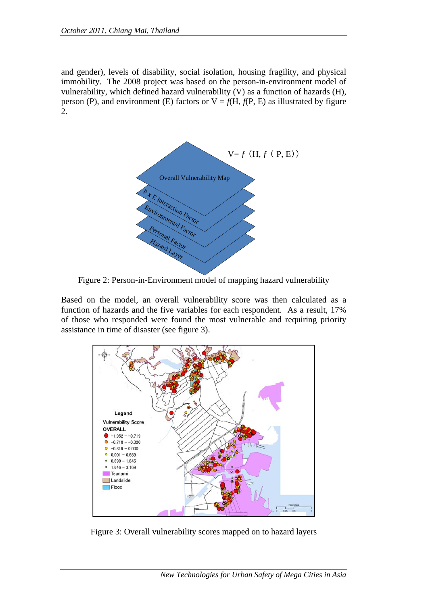and gender), levels of disability, social isolation, housing fragility, and physical immobility. The 2008 project was based on the person-in-environment model of vulnerability, which defined hazard vulnerability (V) as a function of hazards (H), person (P), and environment (E) factors or  $V = f(H, f(P, E))$  as illustrated by figure 2.



Figure 2: Person-in-Environment model of mapping hazard vulnerability

Based on the model, an overall vulnerability score was then calculated as a function of hazards and the five variables for each respondent. As a result, 17% of those who responded were found the most vulnerable and requiring priority assistance in time of disaster (see figure 3).



Figure 3: Overall vulnerability scores mapped on to hazard layers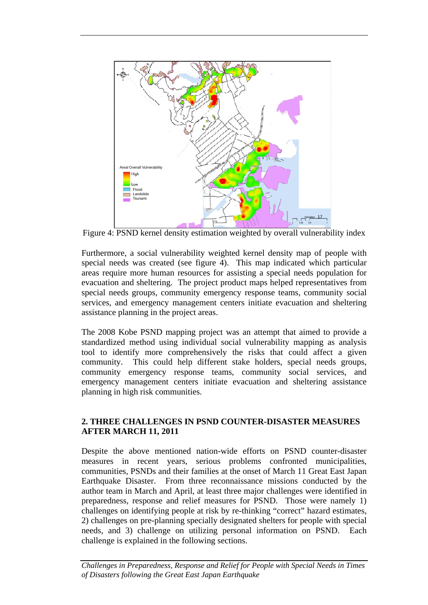

Figure 4: PSND kernel density estimation weighted by overall vulnerability index

Furthermore, a social vulnerability weighted kernel density map of people with special needs was created (see figure 4). This map indicated which particular areas require more human resources for assisting a special needs population for evacuation and sheltering. The project product maps helped representatives from special needs groups, community emergency response teams, community social services, and emergency management centers initiate evacuation and sheltering assistance planning in the project areas.

The 2008 Kobe PSND mapping project was an attempt that aimed to provide a standardized method using individual social vulnerability mapping as analysis tool to identify more comprehensively the risks that could affect a given community. This could help different stake holders, special needs groups, community emergency response teams, community social services, and emergency management centers initiate evacuation and sheltering assistance planning in high risk communities.

## **2. THREE CHALLENGES IN PSND COUNTER-DISASTER MEASURES AFTER MARCH 11, 2011**

Despite the above mentioned nation-wide efforts on PSND counter-disaster measures in recent years, serious problems confronted municipalities, communities, PSNDs and their families at the onset of March 11 Great East Japan Earthquake Disaster. From three reconnaissance missions conducted by the author team in March and April, at least three major challenges were identified in preparedness, response and relief measures for PSND. Those were namely 1) challenges on identifying people at risk by re-thinking "correct" hazard estimates, 2) challenges on pre-planning specially designated shelters for people with special needs, and 3) challenge on utilizing personal information on PSND. Each challenge is explained in the following sections.

*Challenges in Preparedness, Response and Relief for People with Special Needs in Times of Disasters following the Great East Japan Earthquake*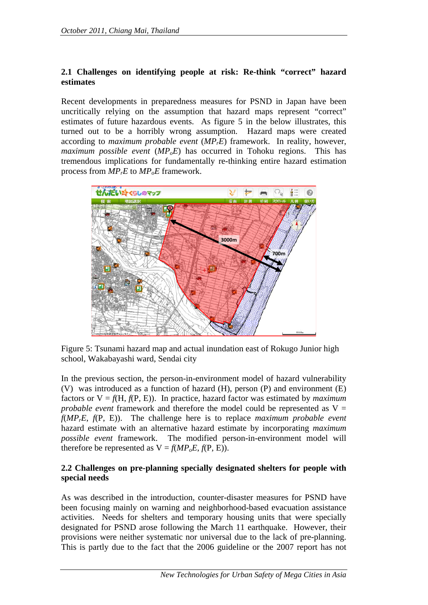## **2.1 Challenges on identifying people at risk: Re-think "correct" hazard estimates**

Recent developments in preparedness measures for PSND in Japan have been uncritically relying on the assumption that hazard maps represent "correct" estimates of future hazardous events. As figure 5 in the below illustrates, this turned out to be a horribly wrong assumption. Hazard maps were created according to *maximum probable event* (*MPrE*) framework. In reality, however, *maximum possible event*  $(MP_0E)$  has occurred in Tohoku regions. This has tremendous implications for fundamentally re-thinking entire hazard estimation process from  $MP<sub>r</sub>E$  to  $MP<sub>o</sub>E$  framework.



Figure 5: Tsunami hazard map and actual inundation east of Rokugo Junior high school, Wakabayashi ward, Sendai city

In the previous section, the person-in-environment model of hazard vulnerability (V) was introduced as a function of hazard (H), person (P) and environment (E) factors or  $V = f(H, f(P, E))$ . In practice, hazard factor was estimated by *maximum probable event* framework and therefore the model could be represented as  $V =$ *f*(*MPrE*, *f*(P, E)). The challenge here is to replace *maximum probable event* hazard estimate with an alternative hazard estimate by incorporating *maximum possible event* framework. The modified person-in-environment model will therefore be represented as  $V = f(MP_0E, f(P, E))$ .

## **2.2 Challenges on pre-planning specially designated shelters for people with special needs**

As was described in the introduction, counter-disaster measures for PSND have been focusing mainly on warning and neighborhood-based evacuation assistance activities. Needs for shelters and temporary housing units that were specially designated for PSND arose following the March 11 earthquake. However, their provisions were neither systematic nor universal due to the lack of pre-planning. This is partly due to the fact that the 2006 guideline or the 2007 report has not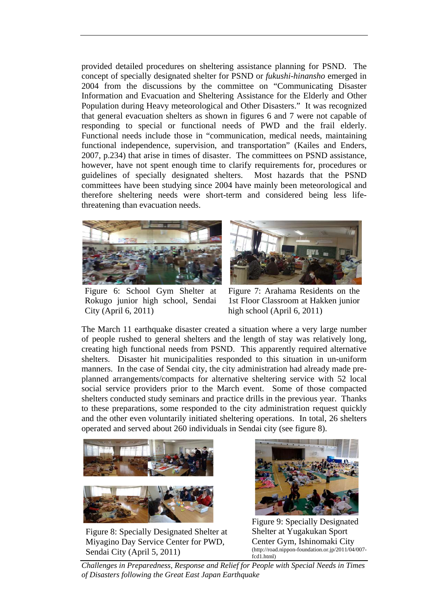provided detailed procedures on sheltering assistance planning for PSND. The concept of specially designated shelter for PSND or *fukushi-hinansho* emerged in 2004 from the discussions by the committee on "Communicating Disaster Information and Evacuation and Sheltering Assistance for the Elderly and Other Population during Heavy meteorological and Other Disasters." It was recognized that general evacuation shelters as shown in figures 6 and 7 were not capable of responding to special or functional needs of PWD and the frail elderly. Functional needs include those in "communication, medical needs, maintaining functional independence, supervision, and transportation" (Kailes and Enders, 2007, p.234) that arise in times of disaster. The committees on PSND assistance, however, have not spent enough time to clarify requirements for, procedures or guidelines of specially designated shelters. Most hazards that the PSND committees have been studying since 2004 have mainly been meteorological and therefore sheltering needs were short-term and considered being less lifethreatening than evacuation needs.



Figure 6: School Gym Shelter at Rokugo junior high school, Sendai City (April 6, 2011)



Figure 7: Arahama Residents on the 1st Floor Classroom at Hakken junior high school (April 6, 2011)

The March 11 earthquake disaster created a situation where a very large number of people rushed to general shelters and the length of stay was relatively long, creating high functional needs from PSND. This apparently required alternative shelters. Disaster hit municipalities responded to this situation in un-uniform manners. In the case of Sendai city, the city administration had already made preplanned arrangements/compacts for alternative sheltering service with 52 local social service providers prior to the March event. Some of those compacted shelters conducted study seminars and practice drills in the previous year. Thanks to these preparations, some responded to the city administration request quickly and the other even voluntarily initiated sheltering operations. In total, 26 shelters operated and served about 260 individuals in Sendai city (see figure 8).



Figure 8: Specially Designated Shelter at Miyagino Day Service Center for PWD, Sendai City (April 5, 2011)



Figure 9: Specially Designated Shelter at Yugakukan Sport Center Gym, Ishinomaki City (http://road.nippon-foundation.or.jp/2011/04/007 fcd1.html)

*Challenges in Preparedness, Response and Relief for People with Special Needs in Times of Disasters following the Great East Japan Earthquake*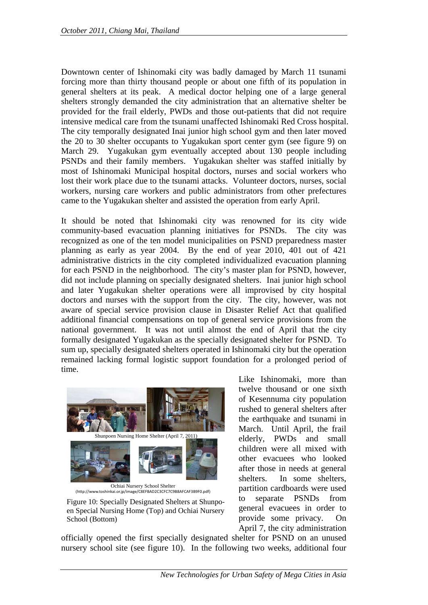Downtown center of Ishinomaki city was badly damaged by March 11 tsunami forcing more than thirty thousand people or about one fifth of its population in general shelters at its peak. A medical doctor helping one of a large general shelters strongly demanded the city administration that an alternative shelter be provided for the frail elderly, PWDs and those out-patients that did not require intensive medical care from the tsunami unaffected Ishinomaki Red Cross hospital. The city temporally designated Inai junior high school gym and then later moved the 20 to 30 shelter occupants to Yugakukan sport center gym (see figure 9) on March 29. Yugakukan gym eventually accepted about 130 people including PSNDs and their family members. Yugakukan shelter was staffed initially by most of Ishinomaki Municipal hospital doctors, nurses and social workers who lost their work place due to the tsunami attacks. Volunteer doctors, nurses, social workers, nursing care workers and public administrators from other prefectures came to the Yugakukan shelter and assisted the operation from early April.

It should be noted that Ishinomaki city was renowned for its city wide community-based evacuation planning initiatives for PSNDs. The city was recognized as one of the ten model municipalities on PSND preparedness master planning as early as year 2004. By the end of year 2010, 401 out of 421 administrative districts in the city completed individualized evacuation planning for each PSND in the neighborhood. The city's master plan for PSND, however, did not include planning on specially designated shelters. Inai junior high school and later Yugakukan shelter operations were all improvised by city hospital doctors and nurses with the support from the city. The city, however, was not aware of special service provision clause in Disaster Relief Act that qualified additional financial compensations on top of general service provisions from the national government. It was not until almost the end of April that the city formally designated Yugakukan as the specially designated shelter for PSND. To sum up, specially designated shelters operated in Ishinomaki city but the operation remained lacking formal logistic support foundation for a prolonged period of time.



Ochiai Nursery School Shelter (http://www.toshinkai.or.jp/image/C8EFBAD2C3CFC7C9B8AFCAF3B9F0.pdf)

Figure 10: Specially Designated Shelters at Shunpoen Special Nursing Home (Top) and Ochiai Nursery School (Bottom)

Like Ishinomaki, more than twelve thousand or one sixth of Kesennuma city population rushed to general shelters after the earthquake and tsunami in March. Until April, the frail elderly, PWDs and small children were all mixed with other evacuees who looked after those in needs at general shelters. In some shelters, partition cardboards were used to separate PSNDs from general evacuees in order to provide some privacy. On April 7, the city administration

officially opened the first specially designated shelter for PSND on an unused nursery school site (see figure 10). In the following two weeks, additional four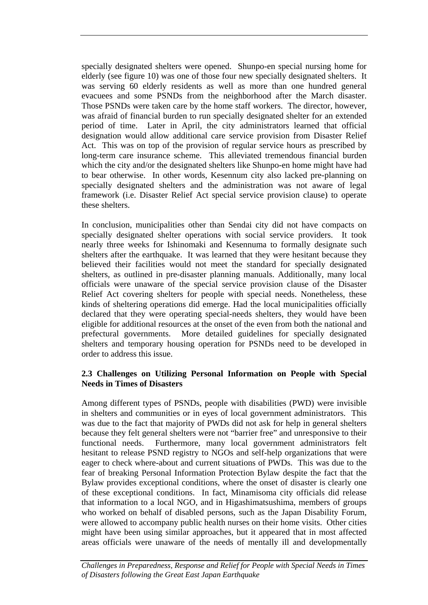specially designated shelters were opened. Shunpo-en special nursing home for elderly (see figure 10) was one of those four new specially designated shelters. It was serving 60 elderly residents as well as more than one hundred general evacuees and some PSNDs from the neighborhood after the March disaster. Those PSNDs were taken care by the home staff workers. The director, however, was afraid of financial burden to run specially designated shelter for an extended period of time. Later in April, the city administrators learned that official designation would allow additional care service provision from Disaster Relief Act. This was on top of the provision of regular service hours as prescribed by long-term care insurance scheme. This alleviated tremendous financial burden which the city and/or the designated shelters like Shunpo-en home might have had to bear otherwise. In other words, Kesennum city also lacked pre-planning on specially designated shelters and the administration was not aware of legal framework (i.e. Disaster Relief Act special service provision clause) to operate these shelters.

In conclusion, municipalities other than Sendai city did not have compacts on specially designated shelter operations with social service providers. It took nearly three weeks for Ishinomaki and Kesennuma to formally designate such shelters after the earthquake. It was learned that they were hesitant because they believed their facilities would not meet the standard for specially designated shelters, as outlined in pre-disaster planning manuals. Additionally, many local officials were unaware of the special service provision clause of the Disaster Relief Act covering shelters for people with special needs. Nonetheless, these kinds of sheltering operations did emerge. Had the local municipalities officially declared that they were operating special-needs shelters, they would have been eligible for additional resources at the onset of the even from both the national and prefectural governments. More detailed guidelines for specially designated shelters and temporary housing operation for PSNDs need to be developed in order to address this issue.

#### **2.3 Challenges on Utilizing Personal Information on People with Special Needs in Times of Disasters**

Among different types of PSNDs, people with disabilities (PWD) were invisible in shelters and communities or in eyes of local government administrators. This was due to the fact that majority of PWDs did not ask for help in general shelters because they felt general shelters were not "barrier free" and unresponsive to their functional needs. Furthermore, many local government administrators felt hesitant to release PSND registry to NGOs and self-help organizations that were eager to check where-about and current situations of PWDs. This was due to the fear of breaking Personal Information Protection Bylaw despite the fact that the Bylaw provides exceptional conditions, where the onset of disaster is clearly one of these exceptional conditions. In fact, Minamisoma city officials did release that information to a local NGO, and in Higashimatsushima, members of groups who worked on behalf of disabled persons, such as the Japan Disability Forum, were allowed to accompany public health nurses on their home visits. Other cities might have been using similar approaches, but it appeared that in most affected areas officials were unaware of the needs of mentally ill and developmentally